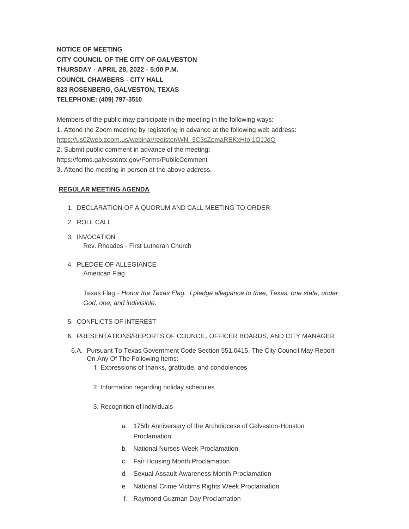**NOTICE OF MEETING CITY COUNCIL OF THE CITY OF GALVESTON THURSDAY - APRIL 28, 2022 - 5:00 P.M. COUNCIL CHAMBERS - CITY HALL 823 ROSENBERG, GALVESTON, TEXAS TELEPHONE: (409) 797-3510**

Members of the public may participate in the meeting in the following ways: [1. Attend the Zoom meeting by registering in advance at the following web ad](https://us02web.zoom.us/webinar/register/WN_3C3sZpmaREKxHIoI1OJJdQ)dress: https://us02web.zoom.us/webinar/register/WN\_3C3sZpmaREKxHIoI1OJJdQ 2. Submit public comment in advance of the meeting: https://forms.galvestontx.gov/Forms/PublicComment 3. Attend the meeting in person at the above address.

#### **REGULAR MEETING AGENDA**

- 1. DECLARATION OF A QUORUM AND CALL MEETING TO ORDER
- 2. ROLL CALL
- 3. INVOCATION Rev. Rhoades - First Lutheran Church
- 4. PLEDGE OF ALLEGIANCE American Flag

Texas Flag - *Honor the Texas Flag. I pledge allegiance to thee, Texas, one state, under God, one, and indivisible.*

- 5. CONFLICTS OF INTEREST
- 6. PRESENTATIONS/REPORTS OF COUNCIL, OFFICER BOARDS, AND CITY MANAGER
- 6.A. Pursuant To Texas Government Code Section 551.0415, The City Council May Report On Any Of The Following Items: 1. Expressions of thanks, gratitude, and condolences
	- 2. Information regarding holiday schedules
	- 3. Recognition of individuals
		- a. 175th Anniversary of the Archdiocese of Galveston-Houston Proclamation
		- b. National Nurses Week Proclamation
		- c. Fair Housing Month Proclamation
		- d. Sexual Assault Awareness Month Proclamation
		- e. National Crime Victims Rights Week Proclamation
		- f. Raymond Guzman Day Proclamation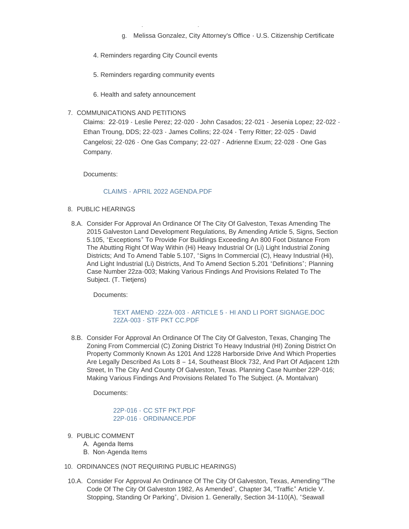- g. Melissa Gonzalez, City Attorney's Office U.S. Citizenship Certificate
- 4. Reminders regarding City Council events

f. Raymond Guzman Day Proclamation

- 5. Reminders regarding community events
- 6. Health and safety announcement
- 7. COMMUNICATIONS AND PETITIONS

Claims: 22-019 - Leslie Perez; 22-020 - John Casados; 22-021 - Jesenia Lopez; 22-022 - Ethan Troung, DDS; 22-023 - James Collins; 22-024 - Terry Ritter; 22-025 - David Cangelosi; 22-026 - One Gas Company; 22-027 - Adrienne Exum; 22-028 - One Gas Company.

Documents:

# [CLAIMS - APRIL 2022 AGENDA.PDF](https://www.galvestontx.gov/AgendaCenter/ViewFile/Item/14093?fileID=32754)

- 8. PUBLIC HEARINGS
- 8.A. Consider For Approval An Ordinance Of The City Of Galveston, Texas Amending The 2015 Galveston Land Development Regulations, By Amending Article 5, Signs, Section 5.105, "Exceptions" To Provide For Buildings Exceeding An 800 Foot Distance From The Abutting Right Of Way Within (Hi) Heavy Industrial Or (Li) Light Industrial Zoning Districts; And To Amend Table 5.107, "Signs In Commercial (C), Heavy Industrial (Hi), And Light Industrial (Li) Districts, And To Amend Section 5.201 "Definitions"; Planning Case Number 22za-003; Making Various Findings And Provisions Related To The Subject. (T. Tietjens)

Documents:

# TEXT AMEND -22ZA-003 - ARTICLE 5 - [HI AND LI PORT SIGNAGE.DOC](https://www.galvestontx.gov/AgendaCenter/ViewFile/Item/14112?fileID=32796) 22ZA-003 - [STF PKT CC.PDF](https://www.galvestontx.gov/AgendaCenter/ViewFile/Item/14112?fileID=32789)

8.B. Consider For Approval An Ordinance Of The City Of Galveston, Texas, Changing The Zoning From Commercial (C) Zoning District To Heavy Industrial (HI) Zoning District On Property Commonly Known As 1201 And 1228 Harborside Drive And Which Properties Are Legally Described As Lots 8 – 14, Southeast Block 732, And Part Of Adjacent 12th Street, In The City And County Of Galveston, Texas. Planning Case Number 22P-016; Making Various Findings And Provisions Related To The Subject. (A. Montalvan)

Documents:

22P-016 - [CC STF PKT.PDF](https://www.galvestontx.gov/AgendaCenter/ViewFile/Item/14106?fileID=32773) 22P-016 - [ORDINANCE.PDF](https://www.galvestontx.gov/AgendaCenter/ViewFile/Item/14106?fileID=32774)

- 9. PUBLIC COMMENT
	- A. Agenda Items
	- B. Non-Agenda Items
- 10. ORDINANCES (NOT REQUIRING PUBLIC HEARINGS)
- 10.A. Consider For Approval An Ordinance Of The City Of Galveston, Texas, Amending "The Code Of The City Of Galveston 1982, As Amended", Chapter 34, "Traffic" Article V. Stopping, Standing Or Parking", Division 1. Generally, Section 34-110(A), "Seawall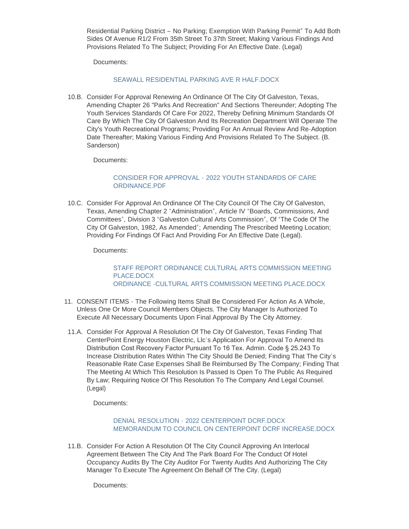Residential Parking District – No Parking; Exemption With Parking Permit" To Add Both Sides Of Avenue R1/2 From 35th Street To 37th Street; Making Various Findings And Provisions Related To The Subject; Providing For An Effective Date. (Legal)

Documents:

# SEAWALL RESIDENTIAL PARKING AVE R HALF DOCX

10.B. Consider For Approval Renewing An Ordinance Of The City Of Galveston, Texas, Amending Chapter 26 "Parks And Recreation" And Sections Thereunder; Adopting The Youth Services Standards Of Care For 2022, Thereby Defining Minimum Standards Of Care By Which The City Of Galveston And Its Recreation Department Will Operate The City's Youth Recreational Programs; Providing For An Annual Review And Re-Adoption Date Thereafter; Making Various Finding And Provisions Related To The Subject. (B. Sanderson)

Documents:

# CONSIDER FOR APPROVAL - [2022 YOUTH STANDARDS OF CARE](https://www.galvestontx.gov/AgendaCenter/ViewFile/Item/14070?fileID=32744)  ORDINANCE.PDF

10.C. Consider For Approval An Ordinance Of The City Council Of The City Of Galveston, Texas, Amending Chapter 2 "Administration", Article IV "Boards, Commissions, And Committees", Division 3 "Galveston Cultural Arts Commission", Of "The Code Of The City Of Galveston, 1982, As Amended"; Amending The Prescribed Meeting Location; Providing For Findings Of Fact And Providing For An Effective Date (Legal).

Documents:

[STAFF REPORT ORDINANCE CULTURAL ARTS COMMISSION MEETING](https://www.galvestontx.gov/AgendaCenter/ViewFile/Item/14111?fileID=32787)  PLACE.DOCX [ORDINANCE -CULTURAL ARTS COMMISSION MEETING PLACE.DOCX](https://www.galvestontx.gov/AgendaCenter/ViewFile/Item/14111?fileID=32788)

- 11. CONSENT ITEMS The Following Items Shall Be Considered For Action As A Whole, Unless One Or More Council Members Objects. The City Manager Is Authorized To Execute All Necessary Documents Upon Final Approval By The City Attorney.
- 11.A. Consider For Approval A Resolution Of The City Of Galveston, Texas Finding That CenterPoint Energy Houston Electric, Llc's Application For Approval To Amend Its Distribution Cost Recovery Factor Pursuant To 16 Tex. Admin. Code § 25.243 To Increase Distribution Rates Within The City Should Be Denied; Finding That The City's Reasonable Rate Case Expenses Shall Be Reimbursed By The Company; Finding That The Meeting At Which This Resolution Is Passed Is Open To The Public As Required By Law; Requiring Notice Of This Resolution To The Company And Legal Counsel. (Legal)

Documents:

# DENIAL RESOLUTION - 2022 CENTERPOINT DCRE DOCX [MEMORANDUM TO COUNCIL ON CENTERPOINT DCRF INCREASE.DOCX](https://www.galvestontx.gov/AgendaCenter/ViewFile/Item/14104?fileID=32769)

11.B. Consider For Action A Resolution Of The City Council Approving An Interlocal Agreement Between The City And The Park Board For The Conduct Of Hotel Occupancy Audits By The City Auditor For Twenty Audits And Authorizing The City Manager To Execute The Agreement On Behalf Of The City. (Legal)

Documents: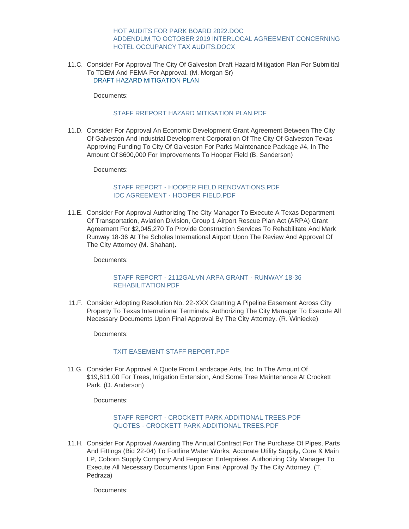#### [HOT AUDITS FOR PARK BOARD 2022.DOC](https://www.galvestontx.gov/AgendaCenter/ViewFile/Item/14115?fileID=32795) [ADDENDUM TO OCTOBER 2019 INTERLOCAL AGREEMENT CONCERNING](https://www.galvestontx.gov/AgendaCenter/ViewFile/Item/14115?fileID=32794)  HOTEL OCCUPANCY TAX AUDITS.DOCX

11.C. Consider For Approval The City Of Galveston Draft Hazard Mitigation Plan For Submittal To TDEM And FEMA For Approval. (M. Morgan Sr) [DRAFT HAZARD MITIGATION PLAN](https://www.galvestontx.gov/DocumentCenter/View/16073)

Documents:

#### [STAFF RREPORT HAZARD MITIGATION PLAN.PDF](https://www.galvestontx.gov/AgendaCenter/ViewFile/Item/14072?fileID=32806)

11.D. Consider For Approval An Economic Development Grant Agreement Between The City Of Galveston And Industrial Development Corporation Of The City Of Galveston Texas Approving Funding To City Of Galveston For Parks Maintenance Package #4, In The Amount Of \$600,000 For Improvements To Hooper Field (B. Sanderson)

Documents:

# [STAFF REPORT - HOOPER FIELD RENOVATIONS.PDF](https://www.galvestontx.gov/AgendaCenter/ViewFile/Item/14107?fileID=32776) [IDC AGREEMENT - HOOPER FIELD.PDF](https://www.galvestontx.gov/AgendaCenter/ViewFile/Item/14107?fileID=32775)

11.E. Consider For Approval Authorizing The City Manager To Execute A Texas Department Of Transportation, Aviation Division, Group 1 Airport Rescue Plan Act (ARPA) Grant Agreement For \$2,045,270 To Provide Construction Services To Rehabilitate And Mark Runway 18-36 At The Scholes International Airport Upon The Review And Approval Of The City Attorney (M. Shahan).

Documents:

### [STAFF REPORT - 2112GALVN ARPA GRANT - RUNWAY 18-36](https://www.galvestontx.gov/AgendaCenter/ViewFile/Item/14073?fileID=32748)  REHABILITATION.PDF

11.F. Consider Adopting Resolution No. 22-XXX Granting A Pipeline Easement Across City Property To Texas International Terminals. Authorizing The City Manager To Execute All Necessary Documents Upon Final Approval By The City Attorney. (R. Winiecke)

Documents:

### TXIT FASEMENT STAFF REPORT PDF

11.G. Consider For Approval A Quote From Landscape Arts, Inc. In The Amount Of \$19,811.00 For Trees, Irrigation Extension, And Some Tree Maintenance At Crockett Park. (D. Anderson)

Documents:

### [STAFF REPORT - CROCKETT PARK ADDITIONAL TREES.PDF](https://www.galvestontx.gov/AgendaCenter/ViewFile/Item/14105?fileID=32770) [QUOTES - CROCKETT PARK ADDITIONAL TREES.PDF](https://www.galvestontx.gov/AgendaCenter/ViewFile/Item/14105?fileID=32791)

11.H. Consider For Approval Awarding The Annual Contract For The Purchase Of Pipes, Parts And Fittings (Bid 22-04) To Fortline Water Works, Accurate Utility Supply, Core & Main LP, Coborn Supply Company And Ferguson Enterprises. Authorizing City Manager To Execute All Necessary Documents Upon Final Approval By The City Attorney. (T. Pedraza)

Documents: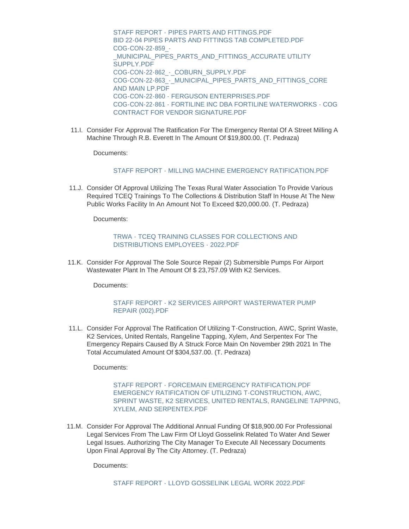[STAFF REPORT - PIPES PARTS AND FITTINGS.PDF](https://www.galvestontx.gov/AgendaCenter/ViewFile/Item/14071?fileID=32745) [BID 22-04 PIPES PARTS AND FITTINGS TAB COMPLETED.PDF](https://www.galvestontx.gov/AgendaCenter/ViewFile/Item/14071?fileID=32746) COG-CON-22-859\_- [\\_MUNICIPAL\\_PIPES\\_PARTS\\_AND\\_FITTINGS\\_ACCURATE UTILITY](https://www.galvestontx.gov/AgendaCenter/ViewFile/Item/14071?fileID=32780)  SUPPLY.PDF COG-CON-22-862 - COBURN SUPPLY.PDF [COG-CON-22-863\\_-\\_MUNICIPAL\\_PIPES\\_PARTS\\_AND\\_FITTINGS\\_CORE](https://www.galvestontx.gov/AgendaCenter/ViewFile/Item/14071?fileID=32782)  AND MAIN LP.PDF [COG-CON-22-860 - FERGUSON ENTERPRISES.PDF](https://www.galvestontx.gov/AgendaCenter/ViewFile/Item/14071?fileID=32783) [COG-CON-22-861 - FORTILINE INC DBA FORTILINE WATERWORKS - COG](https://www.galvestontx.gov/AgendaCenter/ViewFile/Item/14071?fileID=32784)  CONTRACT FOR VENDOR SIGNATURE.PDF

11.I. Consider For Approval The Ratification For The Emergency Rental Of A Street Milling A Machine Through R.B. Everett In The Amount Of \$19,800.00. (T. Pedraza)

Documents:

#### [STAFF REPORT - MILLING MACHINE EMERGENCY RATIFICATION.PDF](https://www.galvestontx.gov/AgendaCenter/ViewFile/Item/14094?fileID=32755)

11.J. Consider Of Approval Utilizing The Texas Rural Water Association To Provide Various Required TCEQ Trainings To The Collections & Distribution Staff In House At The New Public Works Facility In An Amount Not To Exceed \$20,000.00. (T. Pedraza)

Documents:

#### [TRWA - TCEQ TRAINING CLASSES FOR COLLECTIONS AND](https://www.galvestontx.gov/AgendaCenter/ViewFile/Item/14102?fileID=32766)  DISTRIBUTIONS EMPLOYEES - 2022.PDF

11.K. Consider For Approval The Sole Source Repair (2) Submersible Pumps For Airport Wastewater Plant In The Amount Of \$ 23,757.09 With K2 Services.

Documents:

### [STAFF REPORT - K2 SERVICES AIRPORT WASTERWATER PUMP](https://www.galvestontx.gov/AgendaCenter/ViewFile/Item/14110?fileID=32786)  REPAIR (002).PDF

11.L. Consider For Approval The Ratification Of Utilizing T-Construction, AWC, Sprint Waste, K2 Services, United Rentals, Rangeline Tapping, Xylem, And Serpentex For The Emergency Repairs Caused By A Struck Force Main On November 29th 2021 In The Total Accumulated Amount Of \$304,537.00. (T. Pedraza)

Documents:

# [STAFF REPORT - FORCEMAIN EMERGENCY RATIFICATION.PDF](https://www.galvestontx.gov/AgendaCenter/ViewFile/Item/14090?fileID=32752) EMERGENCY RATIFICATION OF UTILIZING T-CONSTRUCTION, AWC, [SPRINT WASTE, K2 SERVICES, UNITED RENTALS, RANGELINE TAPPING,](https://www.galvestontx.gov/AgendaCenter/ViewFile/Item/14090?fileID=32793)  XYLEM, AND SERPENTEX.PDF

11.M. Consider For Approval The Additional Annual Funding Of \$18,900.00 For Professional Legal Services From The Law Firm Of Lloyd Gosselink Related To Water And Sewer Legal Issues. Authorizing The City Manager To Execute All Necessary Documents Upon Final Approval By The City Attorney. (T. Pedraza)

Documents: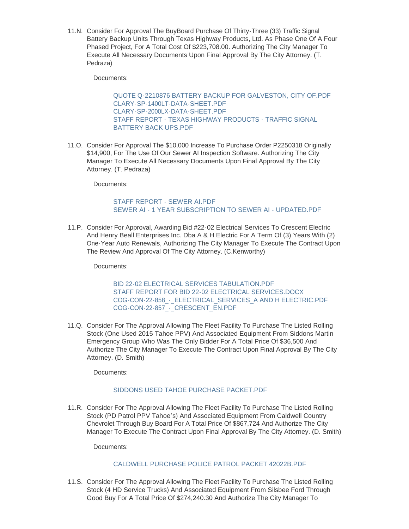11.N. Consider For Approval The BuyBoard Purchase Of Thirty-Three (33) Traffic Signal Battery Backup Units Through Texas Highway Products, Ltd. As Phase One Of A Four Phased Project, For A Total Cost Of \$223,708.00. Authorizing The City Manager To Execute All Necessary Documents Upon Final Approval By The City Attorney. (T. Pedraza)

Documents:

[QUOTE Q-2210876 BATTERY BACKUP FOR GALVESTON, CITY OF.PDF](https://www.galvestontx.gov/AgendaCenter/ViewFile/Item/14101?fileID=32763) [CLARY-SP-1400LT-DATA-SHEET.PDF](https://www.galvestontx.gov/AgendaCenter/ViewFile/Item/14101?fileID=32764) [CLARY-SP-2000LX-DATA-SHEET.PDF](https://www.galvestontx.gov/AgendaCenter/ViewFile/Item/14101?fileID=32765) [STAFF REPORT - TEXAS HIGHWAY PRODUCTS - TRAFFIC SIGNAL](https://www.galvestontx.gov/AgendaCenter/ViewFile/Item/14101?fileID=32802)  BATTERY BACK UPS.PDF

11.O. Consider For Approval The \$10,000 Increase To Purchase Order P2250318 Originally \$14,900, For The Use Of Our Sewer AI Inspection Software. Authorizing The City Manager To Execute All Necessary Documents Upon Final Approval By The City Attorney. (T. Pedraza)

Documents:

# [STAFF REPORT - SEWER AI.PDF](https://www.galvestontx.gov/AgendaCenter/ViewFile/Item/14109?fileID=32785) [SEWER AI - 1 YEAR SUBSCRIPTION TO SEWER AI - UPDATED.PDF](https://www.galvestontx.gov/AgendaCenter/ViewFile/Item/14109?fileID=32803)

11.P. Consider For Approval, Awarding Bid #22-02 Electrical Services To Crescent Electric And Henry Beall Enterprises Inc. Dba A & H Electric For A Term Of (3) Years With (2) One-Year Auto Renewals, Authorizing The City Manager To Execute The Contract Upon The Review And Approval Of The City Attorney. (C.Kenworthy)

Documents:

[BID 22-02 ELECTRICAL SERVICES TABULATION.PDF](https://www.galvestontx.gov/AgendaCenter/ViewFile/Item/14067?fileID=32694) [STAFF REPORT FOR BID 22-02 ELECTRICAL SERVICES.DOCX](https://www.galvestontx.gov/AgendaCenter/ViewFile/Item/14067?fileID=32695) COG-CON-22-858 - ELECTRICAL SERVICES A AND H ELECTRIC.PDF COG-CON-22-857 - CRESCENT EN.PDF

11.Q. Consider For The Approval Allowing The Fleet Facility To Purchase The Listed Rolling Stock (One Used 2015 Tahoe PPV) And Associated Equipment From Siddons Martin Emergency Group Who Was The Only Bidder For A Total Price Of \$36,500 And Authorize The City Manager To Execute The Contract Upon Final Approval By The City Attorney. (D. Smith)

Documents:

### [SIDDONS USED TAHOE PURCHASE PACKET.PDF](https://www.galvestontx.gov/AgendaCenter/ViewFile/Item/14074?fileID=32749)

11.R. Consider For The Approval Allowing The Fleet Facility To Purchase The Listed Rolling Stock (PD Patrol PPV Tahoe's) And Associated Equipment From Caldwell Country Chevrolet Through Buy Board For A Total Price Of \$867,724 And Authorize The City Manager To Execute The Contract Upon Final Approval By The City Attorney. (D. Smith)

Documents:

### [CALDWELL PURCHASE POLICE PATROL PACKET 42022B.PDF](https://www.galvestontx.gov/AgendaCenter/ViewFile/Item/14114?fileID=32799)

11.S. Consider For The Approval Allowing The Fleet Facility To Purchase The Listed Rolling Stock (4 HD Service Trucks) And Associated Equipment From Silsbee Ford Through Good Buy For A Total Price Of \$274,240.30 And Authorize The City Manager To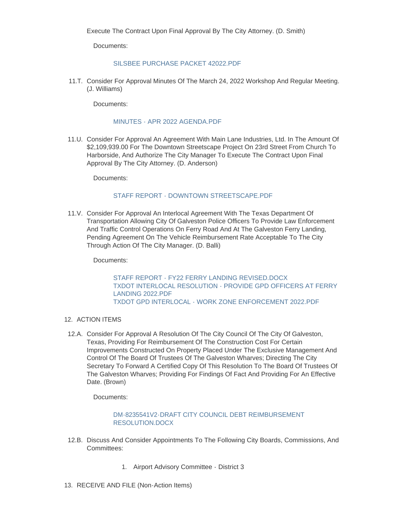Documents:

#### [SILSBEE PURCHASE PACKET 42022.PDF](https://www.galvestontx.gov/AgendaCenter/ViewFile/Item/14069?fileID=32798)

11.T. Consider For Approval Minutes Of The March 24, 2022 Workshop And Regular Meeting. (J. Williams)

Documents:

#### [MINUTES - APR 2022 AGENDA.PDF](https://www.galvestontx.gov/AgendaCenter/ViewFile/Item/14118?fileID=32801)

11.U. Consider For Approval An Agreement With Main Lane Industries, Ltd. In The Amount Of \$2,109,939.00 For The Downtown Streetscape Project On 23rd Street From Church To Harborside, And Authorize The City Manager To Execute The Contract Upon Final Approval By The City Attorney. (D. Anderson)

Documents:

#### [STAFF REPORT - DOWNTOWN STREETSCAPE.PDF](https://www.galvestontx.gov/AgendaCenter/ViewFile/Item/14119?fileID=32805)

11.V. Consider For Approval An Interlocal Agreement With The Texas Department Of Transportation Allowing City Of Galveston Police Officers To Provide Law Enforcement And Traffic Control Operations On Ferry Road And At The Galveston Ferry Landing, Pending Agreement On The Vehicle Reimbursement Rate Acceptable To The City Through Action Of The City Manager. (D. Balli)

Documents:

STAFF REPORT - FY22 FERRY LANDING REVISED DOCX [TXDOT INTERLOCAL RESOLUTION - PROVIDE GPD OFFICERS AT FERRY](https://www.galvestontx.gov/AgendaCenter/ViewFile/Item/14108?fileID=32778)  LANDING 2022.PDF [TXDOT GPD INTERLOCAL - WORK ZONE ENFORCEMENT 2022.PDF](https://www.galvestontx.gov/AgendaCenter/ViewFile/Item/14108?fileID=32779)

### 12. ACTION ITEMS

12.A. Consider For Approval A Resolution Of The City Council Of The City Of Galveston, Texas, Providing For Reimbursement Of The Construction Cost For Certain Improvements Constructed On Property Placed Under The Exclusive Management And Control Of The Board Of Trustees Of The Galveston Wharves; Directing The City Secretary To Forward A Certified Copy Of This Resolution To The Board Of Trustees Of The Galveston Wharves; Providing For Findings Of Fact And Providing For An Effective Date. (Brown)

Documents:

#### [DM-8235541V2-DRAFT CITY COUNCIL DEBT REIMBURSEMENT](https://www.galvestontx.gov/AgendaCenter/ViewFile/Item/14113?fileID=32804)  RESOLUTION.DOCX

- 12.B. Discuss And Consider Appointments To The Following City Boards, Commissions, And Committees:
	- 1. Airport Advisory Committee District 3
- 13. RECEIVE AND FILE (Non-Action Items)